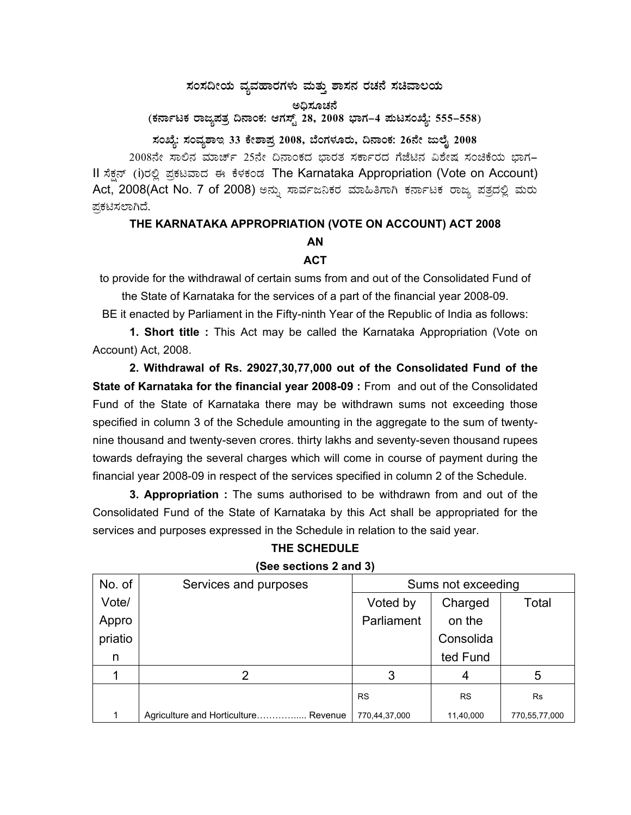## $\,$ ಸಂಸದೀಯ ವ್ಯವಹಾರಗಳು ಮತ್ತು ಶಾಸನ ರಚನೆ ಸಚಿವಾಲಯ

ಅಧಿಸೂಚನೆ

(ಕರ್ನಾಟಕ ರಾಜ್ಯಪತ್ರ ದಿನಾಂಕ: ಆಗಸ್ಟ್ 28, 2008 ಭಾಗ–4 **ಮಟಸಂಖ್ಯೆ: 555–558**)

ಸಂಖ್ಯೆ: ಸಂವ್ಯಶಾಇ 33 ಕೇಶಾಪ್ರ 2008, ಬೆಂಗಳೂರು, ದಿನಾಂಕ: 26ನೇ ಜುಲೈ 2008

2008ನೇ ಸಾಲಿನ ಮಾರ್ಚ್ 25ನೇ ದಿನಾಂಕದ ಭಾರತ ಸರ್ಕಾರದ ಗೆಜೆಟಿನ ವಿಶೇಷ ಸಂಚಿಕೆಯ ಭಾಗ– II ಸೆಕ್ಷನ್ (i)ರಲ್ಲಿ ಪ್ರಕಟವಾದ ಈ ಕೆಳಕಂಡ The Karnataka Appropriation (Vote on Account) Act, 2008(Act No. 7 of 2008) ಅನ್ನು ಸಾರ್ವಜನಿಕರ ಮಾಹಿತಿಗಾಗಿ ಕರ್ನಾಟಕ ರಾಜ್ಯ ಪತ್ರದಲ್ಲಿ ಮರು ಪ್ರಕಟಿಸಲಾಗಿದೆ.

## **THE KARNATAKA APPROPRIATION (VOTE ON ACCOUNT) ACT 2008 AN**

## **ACT**

to provide for the withdrawal of certain sums from and out of the Consolidated Fund of

the State of Karnataka for the services of a part of the financial year 2008-09.

BE it enacted by Parliament in the Fifty-ninth Year of the Republic of India as follows:

**1. Short title :** This Act may be called the Karnataka Appropriation (Vote on Account) Act, 2008.

**2. Withdrawal of Rs. 29027,30,77,000 out of the Consolidated Fund of the State of Karnataka for the financial year 2008-09 :** From and out of the Consolidated Fund of the State of Karnataka there may be withdrawn sums not exceeding those specified in column 3 of the Schedule amounting in the aggregate to the sum of twentynine thousand and twenty-seven crores. thirty lakhs and seventy-seven thousand rupees towards defraying the several charges which will come in course of payment during the financial year 2008-09 in respect of the services specified in column 2 of the Schedule.

**3. Appropriation :** The sums authorised to be withdrawn from and out of the Consolidated Fund of the State of Karnataka by this Act shall be appropriated for the services and purposes expressed in the Schedule in relation to the said year.

| $\frac{1}{2}$ |                                         |                    |           |               |  |  |  |
|---------------|-----------------------------------------|--------------------|-----------|---------------|--|--|--|
| No. of        | Services and purposes                   | Sums not exceeding |           |               |  |  |  |
| Vote/         |                                         | Voted by           | Charged   | Total         |  |  |  |
| Appro         |                                         | Parliament         | on the    |               |  |  |  |
| priatio       |                                         |                    | Consolida |               |  |  |  |
| n             |                                         |                    | ted Fund  |               |  |  |  |
|               |                                         | 3                  | 4         | 5             |  |  |  |
|               |                                         | <b>RS</b>          | <b>RS</b> | Rs            |  |  |  |
|               | Agriculture and Horticulture<br>Revenue | 770,44,37,000      | 11,40,000 | 770,55,77,000 |  |  |  |

**THE SCHEDULE (See sections 2 and 3)**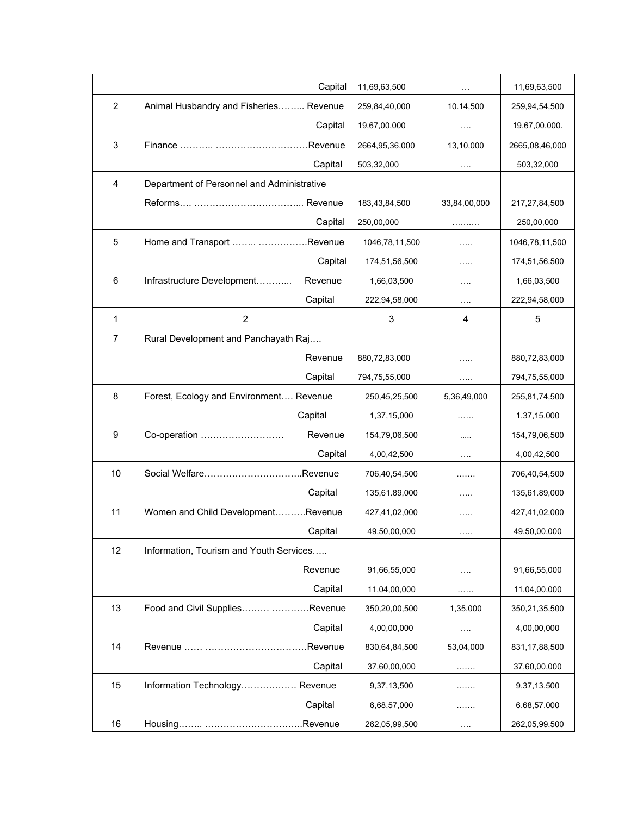|                | Capital                                    | 11,69,63,500   | $\ldots$             | 11,69,63,500     |
|----------------|--------------------------------------------|----------------|----------------------|------------------|
| $\overline{2}$ | Animal Husbandry and Fisheries Revenue     | 259,84,40,000  | 10.14,500            | 259,94,54,500    |
|                | Capital                                    | 19,67,00,000   |                      | 19,67,00,000.    |
| 3              |                                            | 2664,95,36,000 | 13,10,000            | 2665,08,46,000   |
|                | Capital                                    | 503,32,000     | $\ldots$ .           | 503,32,000       |
| $\overline{4}$ | Department of Personnel and Administrative |                |                      |                  |
|                |                                            | 183,43,84,500  | 33,84,00,000         | 217,27,84,500    |
|                | Capital                                    | 250,00,000     | .                    | 250,00,000       |
| 5              | Home and Transport  Revenue                | 1046,78,11,500 | .                    | 1046,78,11,500   |
|                | Capital                                    | 174,51,56,500  | $\cdots$             | 174,51,56,500    |
| 6              | Infrastructure Development<br>Revenue      | 1,66,03,500    | $\cdots$             | 1,66,03,500      |
|                | Capital                                    | 222,94,58,000  | $\sim$ $\sim$        | 222,94,58,000    |
| $\mathbf 1$    | $\overline{c}$                             | 3              | 4                    | 5                |
| $\overline{7}$ | Rural Development and Panchayath Raj       |                |                      |                  |
|                | Revenue                                    | 880,72,83,000  | .                    | 880,72,83,000    |
|                | Capital                                    | 794,75,55,000  | $\cdots$             | 794,75,55,000    |
| 8              | Forest, Ecology and Environment Revenue    | 250,45,25,500  | 5,36,49,000          | 255,81,74,500    |
|                | Capital                                    | 1,37,15,000    | .                    | 1,37,15,000      |
| 9              | Co-operation<br>Revenue                    | 154,79,06,500  | $\cdots$             | 154,79,06,500    |
|                | Capital                                    | 4,00,42,500    | $\sim$ $\sim$ $\sim$ | 4,00,42,500      |
| 10             |                                            | 706,40,54,500  | 1.1.1.1.1.1          | 706,40,54,500    |
|                | Capital                                    | 135,61.89,000  | .                    | 135,61.89,000    |
| 11             | Women and Child DevelopmentRevenue         | 427,41,02,000  | $\cdots$             | 427,41,02,000    |
|                | Capital                                    | 49,50,00,000   | $\cdots$             | 49,50,00,000     |
| 12             | Information, Tourism and Youth Services    |                |                      |                  |
|                | Revenue                                    | 91,66,55,000   | $\cdots$             | 91,66,55,000     |
|                | Capital                                    | 11,04,00,000   | .                    | 11,04,00,000     |
| 13             | Food and Civil Supplies Revenue            | 350,20,00,500  | 1,35,000             | 350,21,35,500    |
|                | Capital                                    | 4,00,00,000    | $\sim$ $\sim$ $\sim$ | 4,00,00,000      |
| 14             |                                            | 830,64,84,500  | 53,04,000            | 831, 17, 88, 500 |
|                | Capital                                    | 37,60,00,000   | .                    | 37,60,00,000     |
| 15             | Information Technology Revenue             | 9,37,13,500    | .                    | 9,37,13,500      |
|                | Capital                                    | 6,68,57,000    | .                    | 6,68,57,000      |
| 16             |                                            | 262,05,99,500  | $\cdots$             | 262,05,99,500    |